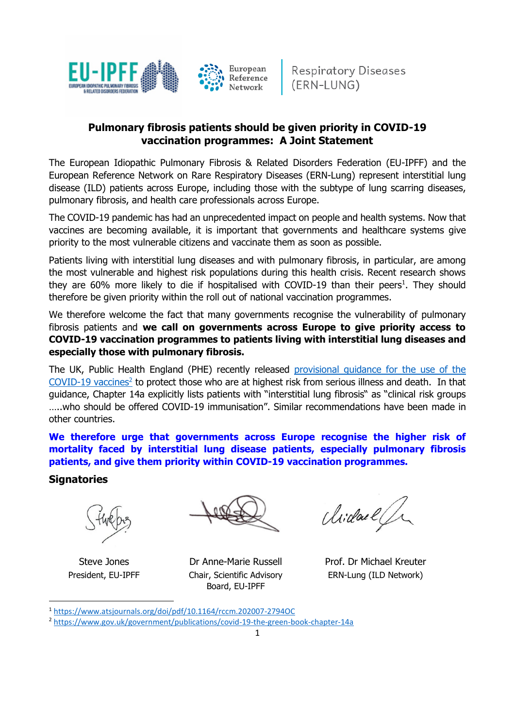

# **Pulmonary fibrosis patients should be given priority in COVID-19 vaccination programmes: A Joint Statement**

The European Idiopathic Pulmonary Fibrosis & Related Disorders Federation (EU-IPFF) and the European Reference Network on Rare Respiratory Diseases (ERN-Lung) represent interstitial lung disease (ILD) patients across Europe, including those with the subtype of lung scarring diseases, pulmonary fibrosis, and health care professionals across Europe.

The COVID-19 pandemic has had an unprecedented impact on people and health systems. Now that vaccines are becoming available, it is important that governments and healthcare systems give priority to the most vulnerable citizens and vaccinate them as soon as possible.

Patients living with interstitial lung diseases and with pulmonary fibrosis, in particular, are among the most vulnerable and highest risk populations during this health crisis. Recent research shows they are  $60\%$  more likely to die if hospitalised with COVID-19 than their peers<sup>1</sup>. They should therefore be given priority within the roll out of national vaccination programmes.

We therefore welcome the fact that many governments recognise the vulnerability of pulmonary fibrosis patients and **we call on governments across Europe to give priority access to COVID-19 vaccination programmes to patients living with interstitial lung diseases and especially those with pulmonary fibrosis.** 

The UK, Public Health England (PHE) recently released [provisional guidance for the use of the](https://assets.publishing.service.gov.uk/government/uploads/system/uploads/attachment_data/file/939119/Greenbook_chapter_14a___provisional_guidance_subject_to_MHRA_approval_of_vaccine_supply_.pdf)  [COVID-19 vaccines](https://assets.publishing.service.gov.uk/government/uploads/system/uploads/attachment_data/file/939119/Greenbook_chapter_14a___provisional_guidance_subject_to_MHRA_approval_of_vaccine_supply_.pdf)<sup>2</sup> to protect those who are at highest risk from serious illness and death. In that guidance, Chapter 14a explicitly lists patients with "interstitial lung fibrosis" as "clinical risk groups …..who should be offered COVID-19 immunisation". Similar recommendations have been made in other countries.

**We therefore urge that governments across Europe recognise the higher risk of mortality faced by interstitial lung disease patients, especially pulmonary fibrosis patients, and give them priority within COVID-19 vaccination programmes.** 

### **Signatories**

Steve Jones Dr Anne-Marie Russell Prof. Dr Michael Kreuter President, EU-IPFF Chair, Scientific Advisory Board, EU-IPFF

Michael Jr

ERN-Lung (ILD Network)

<sup>1</sup> <https://www.atsjournals.org/doi/pdf/10.1164/rccm.202007-2794OC>

<sup>2</sup> <https://www.gov.uk/government/publications/covid-19-the-green-book-chapter-14a>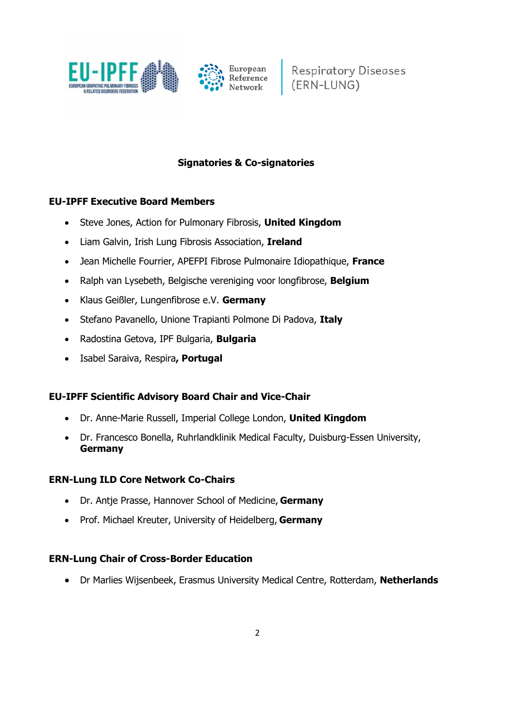

Respiratory Diseases<br>(ERN-LUNG)

### **Signatories & Co-signatories**

#### **EU-IPFF Executive Board Members**

- Steve Jones, Action for Pulmonary Fibrosis, **United Kingdom**
- Liam Galvin, Irish Lung Fibrosis Association, **Ireland**
- Jean Michelle Fourrier, APEFPI Fibrose Pulmonaire Idiopathique, **France**
- Ralph van Lysebeth, Belgische vereniging voor longfibrose, **Belgium**
- Klaus Geißler, Lungenfibrose e.V. **Germany**
- Stefano Pavanello, Unione Trapianti Polmone Di Padova, **Italy**
- Radostina Getova, IPF Bulgaria, **Bulgaria**
- Isabel Saraiva, Respira**, Portugal**

#### **EU-IPFF Scientific Advisory Board Chair and Vice-Chair**

- Dr. Anne-Marie Russell, Imperial College London, **United Kingdom**
- Dr. Francesco Bonella, Ruhrlandklinik Medical Faculty, Duisburg-Essen University, **Germany**

#### **ERN-Lung ILD Core Network Co-Chairs**

- Dr. Antje Prasse, Hannover School of Medicine, **Germany**
- Prof. Michael Kreuter, University of Heidelberg, **Germany**

#### **ERN-Lung Chair of Cross-Border Education**

• Dr Marlies Wijsenbeek, Erasmus University Medical Centre, Rotterdam, **Netherlands**